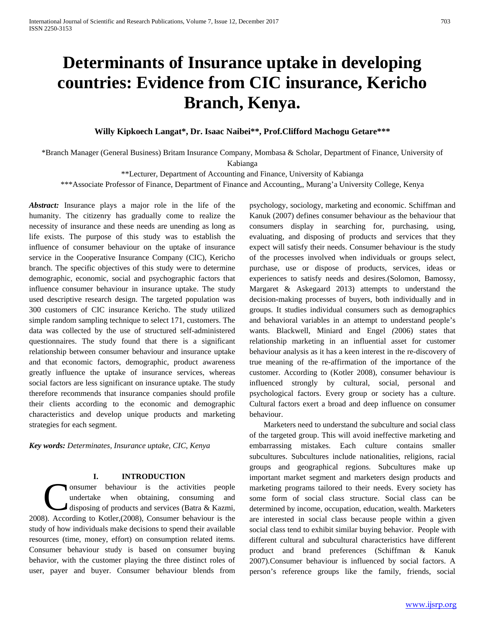# **Determinants of Insurance uptake in developing countries: Evidence from CIC insurance, Kericho Branch, Kenya.**

# **Willy Kipkoech Langat\*, Dr. Isaac Naibei\*\*, Prof.Clifford Machogu Getare\*\*\***

\*Branch Manager (General Business) Britam Insurance Company, Mombasa & Scholar, Department of Finance, University of

Kabianga

\*\*Lecturer, Department of Accounting and Finance, University of Kabianga

\*\*\*Associate Professor of Finance, Department of Finance and Accounting,, Murang'a University College, Kenya

*Abstract:* Insurance plays a major role in the life of the humanity. The citizenry has gradually come to realize the necessity of insurance and these needs are unending as long as life exists. The purpose of this study was to establish the influence of consumer behaviour on the uptake of insurance service in the Cooperative Insurance Company (CIC), Kericho branch. The specific objectives of this study were to determine demographic, economic, social and psychographic factors that influence consumer behaviour in insurance uptake. The study used descriptive research design. The targeted population was 300 customers of CIC insurance Kericho. The study utilized simple random sampling technique to select 171, customers. The data was collected by the use of structured self-administered questionnaires. The study found that there is a significant relationship between consumer behaviour and insurance uptake and that economic factors, demographic, product awareness greatly influence the uptake of insurance services, whereas social factors are less significant on insurance uptake. The study therefore recommends that insurance companies should profile their clients according to the economic and demographic characteristics and develop unique products and marketing strategies for each segment.

*Key words: Determinates, Insurance uptake, CIC, Kenya*

## **I. INTRODUCTION**

onsumer behaviour is the activities people undertake when obtaining, consuming and disposing of products and services (Batra & Kazmi, **Exercise School System** School and School and School and School and School and School and School and School and School and School and School and School and School and School and School and School and School and School and study of how individuals make decisions to spend their available resources (time, money, effort) on consumption related items. Consumer behaviour study is based on consumer buying behavior, with the customer playing the three distinct roles of user, payer and buyer. Consumer behaviour blends from

psychology, sociology, marketing and economic. Schiffman and Kanuk (2007) defines consumer behaviour as the behaviour that consumers display in searching for, purchasing, using, evaluating, and disposing of products and services that they expect will satisfy their needs. Consumer behaviour is the study of the processes involved when individuals or groups select, purchase, use or dispose of products, services, ideas or experiences to satisfy needs and desires.(Solomon, Bamossy, Margaret & Askegaard 2013) attempts to understand the decision-making processes of buyers, both individually and in groups. It studies individual consumers such as demographics and behavioral variables in an attempt to understand people's wants. Blackwell, Miniard and Engel *(*2006) states that relationship marketing in an influential asset for customer behaviour analysis as it has a keen interest in the re-discovery of true meaning of the re-affirmation of the importance of the customer. According to (Kotler 2008), consumer behaviour is influenced strongly by cultural, social, personal and psychological factors. Every group or society has a culture. Cultural factors exert a broad and deep influence on consumer behaviour.

Marketers need to understand the subculture and social class of the targeted group. This will avoid ineffective marketing and embarrassing mistakes. Each culture contains smaller subcultures. Subcultures include nationalities, religions, racial groups and geographical regions. Subcultures make up important market segment and marketers design products and marketing programs tailored to their needs. Every society has some form of social class structure. Social class can be determined by income, occupation, education, wealth. Marketers are interested in social class because people within a given social class tend to exhibit similar buying behavior. People with different cultural and subcultural characteristics have different product and brand preferences (Schiffman & Kanuk 2007).Consumer behaviour is influenced by social factors. A person's reference groups like the family, friends, social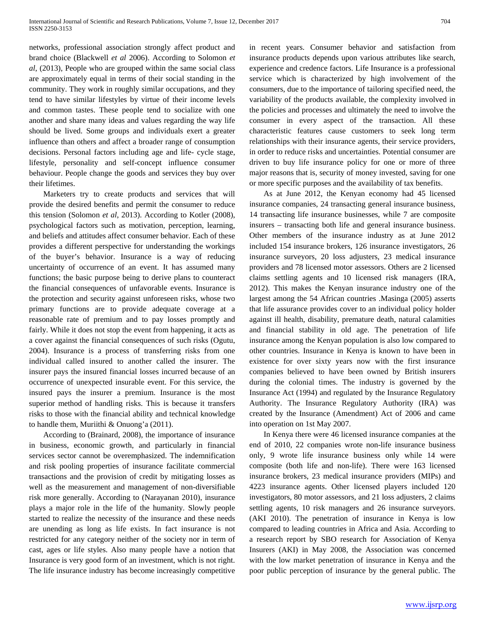networks, professional association strongly affect product and brand choice (Blackwell *et al* 2006). According to Solomon *et al*, (2013), People who are grouped within the same social class are approximately equal in terms of their social standing in the community. They work in roughly similar occupations, and they tend to have similar lifestyles by virtue of their income levels and common tastes. These people tend to socialize with one another and share many ideas and values regarding the way life should be lived. Some groups and individuals exert a greater influence than others and affect a broader range of consumption decisions. Personal factors including age and life- cycle stage, lifestyle, personality and self-concept influence consumer behaviour. People change the goods and services they buy over their lifetimes.

Marketers try to create products and services that will provide the desired benefits and permit the consumer to reduce this tension (Solomon *et al*, 2013). According to Kotler (2008), psychological factors such as motivation, perception, learning, and beliefs and attitudes affect consumer behavior. Each of these provides a different perspective for understanding the workings of the buyer's behavior. Insurance is a way of reducing uncertainty of occurrence of an event. It has assumed many functions; the basic purpose being to derive plans to counteract the financial consequences of unfavorable events. Insurance is the protection and security against unforeseen risks, whose two primary functions are to provide adequate coverage at a reasonable rate of premium and to pay losses promptly and fairly. While it does not stop the event from happening, it acts as a cover against the financial consequences of such risks (Ogutu, 2004). Insurance is a process of transferring risks from one individual called insured to another called the insurer. The insurer pays the insured financial losses incurred because of an occurrence of unexpected insurable event. For this service, the insured pays the insurer a premium. Insurance is the most superior method of handling risks. This is because it transfers risks to those with the financial ability and technical knowledge to handle them, Muriithi & Onuong'a (2011).

According to (Brainard, 2008), the importance of insurance in business, economic growth, and particularly in financial services sector cannot be overemphasized. The indemnification and risk pooling properties of insurance facilitate commercial transactions and the provision of credit by mitigating losses as well as the measurement and management of non-diversifiable risk more generally. According to (Narayanan 2010), insurance plays a major role in the life of the humanity. Slowly people started to realize the necessity of the insurance and these needs are unending as long as life exists. In fact insurance is not restricted for any category neither of the society nor in term of cast, ages or life styles. Also many people have a notion that Insurance is very good form of an investment, which is not right. The life insurance industry has become increasingly competitive

in recent years. Consumer behavior and satisfaction from insurance products depends upon various attributes like search, experience and credence factors. Life Insurance is a professional service which is characterized by high involvement of the consumers, due to the importance of tailoring specified need, the variability of the products available, the complexity involved in the policies and processes and ultimately the need to involve the consumer in every aspect of the transaction. All these characteristic features cause customers to seek long term relationships with their insurance agents, their service providers, in order to reduce risks and uncertainties. Potential consumer are driven to buy life insurance policy for one or more of three major reasons that is, security of money invested, saving for one or more specific purposes and the availability of tax benefits.

As at June 2012, the Kenyan economy had 45 licensed insurance companies, 24 transacting general insurance business, 14 transacting life insurance businesses, while 7 are composite insurers – transacting both life and general insurance business. Other members of the insurance industry as at June 2012 included 154 insurance brokers, 126 insurance investigators, 26 insurance surveyors, 20 loss adjusters, 23 medical insurance providers and 78 licensed motor assessors. Others are 2 licensed claims settling agents and 10 licensed risk managers (IRA, 2012). This makes the Kenyan insurance industry one of the largest among the 54 African countries .Masinga (2005) asserts that life assurance provides cover to an individual policy holder against ill health, disability, premature death, natural calamities and financial stability in old age. The penetration of life insurance among the Kenyan population is also low compared to other countries. Insurance in Kenya is known to have been in existence for over sixty years now with the first insurance companies believed to have been owned by British insurers during the colonial times. The industry is governed by the Insurance Act (1994) and regulated by the Insurance Regulatory Authority. The Insurance Regulatory Authority (IRA) was created by the Insurance (Amendment) Act of 2006 and came into operation on 1st May 2007.

In Kenya there were 46 licensed insurance companies at the end of 2010, 22 companies wrote non-life insurance business only, 9 wrote life insurance business only while 14 were composite (both life and non-life). There were 163 licensed insurance brokers, 23 medical insurance providers (MIPs) and 4223 insurance agents. Other licensed players included 120 investigators, 80 motor assessors, and 21 loss adjusters, 2 claims settling agents, 10 risk managers and 26 insurance surveyors. (AKI 2010). The penetration of insurance in Kenya is low compared to leading countries in Africa and Asia. According to a research report by SBO research for Association of Kenya Insurers (AKI) in May 2008, the Association was concerned with the low market penetration of insurance in Kenya and the poor public perception of insurance by the general public. The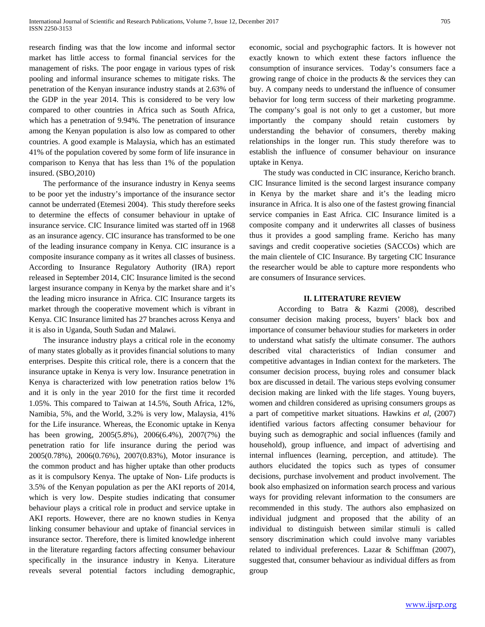research finding was that the low income and informal sector market has little access to formal financial services for the management of risks. The poor engage in various types of risk pooling and informal insurance schemes to mitigate risks. The penetration of the Kenyan insurance industry stands at 2.63% of the GDP in the year 2014. This is considered to be very low compared to other countries in Africa such as South Africa, which has a penetration of 9.94%. The penetration of insurance among the Kenyan population is also low as compared to other countries. A good example is Malaysia, which has an estimated 41% of the population covered by some form of life insurance in comparison to Kenya that has less than 1% of the population insured. (SBO,2010)

The performance of the insurance industry in Kenya seems to be poor yet the industry's importance of the insurance sector cannot be underrated (Etemesi 2004). This study therefore seeks to determine the effects of consumer behaviour in uptake of insurance service. CIC Insurance limited was started off in 1968 as an insurance agency. CIC insurance has transformed to be one of the leading insurance company in Kenya. CIC insurance is a composite insurance company as it writes all classes of business. According to Insurance Regulatory Authority (IRA) report released in September 2014, CIC Insurance limited is the second largest insurance company in Kenya by the market share and it's the leading micro insurance in Africa. CIC Insurance targets its market through the cooperative movement which is vibrant in Kenya. CIC Insurance limited has 27 branches across Kenya and it is also in Uganda, South Sudan and Malawi.

The insurance industry plays a critical role in the economy of many states globally as it provides financial solutions to many enterprises. Despite this critical role, there is a concern that the insurance uptake in Kenya is very low. Insurance penetration in Kenya is characterized with low penetration ratios below 1% and it is only in the year 2010 for the first time it recorded 1.05%. This compared to Taiwan at 14.5%, South Africa, 12%, Namibia, 5%, and the World, 3.2% is very low, Malaysia, 41% for the Life insurance. Whereas, the Economic uptake in Kenya has been growing, 2005(5.8%), 2006(6.4%), 2007(7%) the penetration ratio for life insurance during the period was 2005(0.78%), 2006(0.76%), 2007(0.83%), Motor insurance is the common product and has higher uptake than other products as it is compulsory Kenya. The uptake of Non- Life products is 3.5% of the Kenyan population as per the AKI reports of 2014, which is very low. Despite studies indicating that consumer behaviour plays a critical role in product and service uptake in AKI reports. However, there are no known studies in Kenya linking consumer behaviour and uptake of financial services in insurance sector. Therefore, there is limited knowledge inherent in the literature regarding factors affecting consumer behaviour specifically in the insurance industry in Kenya. Literature reveals several potential factors including demographic,

economic, social and psychographic factors. It is however not exactly known to which extent these factors influence the consumption of insurance services. Today's consumers face a growing range of choice in the products  $\&$  the services they can buy. A company needs to understand the influence of consumer behavior for long term success of their marketing programme. The company's goal is not only to get a customer, but more importantly the company should retain customers by understanding the behavior of consumers, thereby making relationships in the longer run. This study therefore was to establish the influence of consumer behaviour on insurance uptake in Kenya.

The study was conducted in CIC insurance, Kericho branch. CIC Insurance limited is the second largest insurance company in Kenya by the market share and it's the leading micro insurance in Africa. It is also one of the fastest growing financial service companies in East Africa. CIC Insurance limited is a composite company and it underwrites all classes of business thus it provides a good sampling frame. Kericho has many savings and credit cooperative societies (SACCOs) which are the main clientele of CIC Insurance. By targeting CIC Insurance the researcher would be able to capture more respondents who are consumers of Insurance services.

### **II. LITERATURE REVIEW**

According to Batra & Kazmi (2008), described consumer decision making process, buyers' black box and importance of consumer behaviour studies for marketers in order to understand what satisfy the ultimate consumer. The authors described vital characteristics of Indian consumer and competitive advantages in Indian context for the marketers. The consumer decision process, buying roles and consumer black box are discussed in detail. The various steps evolving consumer decision making are linked with the life stages. Young buyers, women and children considered as uprising consumers groups as a part of competitive market situations. Hawkins *et al*, (2007) identified various factors affecting consumer behaviour for buying such as demographic and social influences (family and household), group influence, and impact of advertising and internal influences (learning, perception, and attitude). The authors elucidated the topics such as types of consumer decisions, purchase involvement and product involvement. The book also emphasized on information search process and various ways for providing relevant information to the consumers are recommended in this study. The authors also emphasized on individual judgment and proposed that the ability of an individual to distinguish between similar stimuli is called sensory discrimination which could involve many variables related to individual preferences. Lazar & Schiffman (2007), suggested that, consumer behaviour as individual differs as from group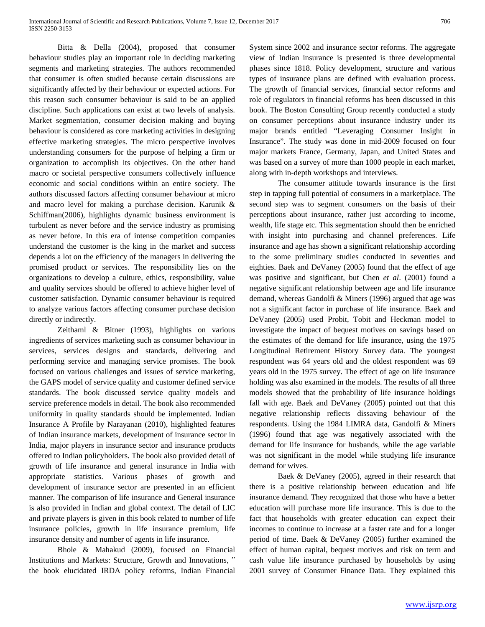Bitta & Della (2004), proposed that consumer behaviour studies play an important role in deciding marketing segments and marketing strategies. The authors recommended that consumer is often studied because certain discussions are significantly affected by their behaviour or expected actions. For this reason such consumer behaviour is said to be an applied discipline. Such applications can exist at two levels of analysis. Market segmentation, consumer decision making and buying behaviour is considered as core marketing activities in designing effective marketing strategies. The micro perspective involves understanding consumers for the purpose of helping a firm or organization to accomplish its objectives. On the other hand macro or societal perspective consumers collectively influence economic and social conditions within an entire society. The authors discussed factors affecting consumer behaviour at micro and macro level for making a purchase decision. Karunik & Schiffman(2006), highlights dynamic business environment is turbulent as never before and the service industry as promising as never before. In this era of intense competition companies understand the customer is the king in the market and success depends a lot on the efficiency of the managers in delivering the promised product or services. The responsibility lies on the organizations to develop a culture, ethics, responsibility, value and quality services should be offered to achieve higher level of customer satisfaction. Dynamic consumer behaviour is required to analyze various factors affecting consumer purchase decision directly or indirectly.

Zeithaml & Bitner (1993), highlights on various ingredients of services marketing such as consumer behaviour in services, services designs and standards, delivering and performing service and managing service promises. The book focused on various challenges and issues of service marketing, the GAPS model of service quality and customer defined service standards. The book discussed service quality models and service preference models in detail. The book also recommended uniformity in quality standards should be implemented. Indian Insurance A Profile by Narayanan (2010), highlighted features of Indian insurance markets, development of insurance sector in India, major players in insurance sector and insurance products offered to Indian policyholders. The book also provided detail of growth of life insurance and general insurance in India with appropriate statistics. Various phases of growth and development of insurance sector are presented in an efficient manner. The comparison of life insurance and General insurance is also provided in Indian and global context. The detail of LIC and private players is given in this book related to number of life insurance policies, growth in life insurance premium, life insurance density and number of agents in life insurance.

Bhole & Mahakud (2009), focused on Financial Institutions and Markets: Structure, Growth and Innovations, " the book elucidated IRDA policy reforms, Indian Financial System since 2002 and insurance sector reforms. The aggregate view of Indian insurance is presented is three developmental phases since 1818. Policy development, structure and various types of insurance plans are defined with evaluation process. The growth of financial services, financial sector reforms and role of regulators in financial reforms has been discussed in this book. The Boston Consulting Group recently conducted a study on consumer perceptions about insurance industry under its major brands entitled "Leveraging Consumer Insight in Insurance". The study was done in mid-2009 focused on four major markets France, Germany, Japan, and United States and was based on a survey of more than 1000 people in each market, along with in-depth workshops and interviews.

The consumer attitude towards insurance is the first step in tapping full potential of consumers in a marketplace. The second step was to segment consumers on the basis of their perceptions about insurance, rather just according to income, wealth, life stage etc. This segmentation should then be enriched with insight into purchasing and channel preferences. Life insurance and age has shown a significant relationship according to the some preliminary studies conducted in seventies and eighties. Baek and DeVaney (2005) found that the effect of age was positive and significant, but Chen *et al*. (2001) found a negative significant relationship between age and life insurance demand, whereas Gandolfi & Miners (1996) argued that age was not a significant factor in purchase of life insurance. Baek and DeVaney (2005) used Probit, Tobit and Heckman model to investigate the impact of bequest motives on savings based on the estimates of the demand for life insurance, using the 1975 Longitudinal Retirement History Survey data. The youngest respondent was 64 years old and the oldest respondent was 69 years old in the 1975 survey. The effect of age on life insurance holding was also examined in the models. The results of all three models showed that the probability of life insurance holdings fall with age. Baek and DeVaney (2005) pointed out that this negative relationship reflects dissaving behaviour of the respondents. Using the 1984 LIMRA data, Gandolfi & Miners (1996) found that age was negatively associated with the demand for life insurance for husbands, while the age variable was not significant in the model while studying life insurance demand for wives.

Baek & DeVaney (2005), agreed in their research that there is a positive relationship between education and life insurance demand. They recognized that those who have a better education will purchase more life insurance. This is due to the fact that households with greater education can expect their incomes to continue to increase at a faster rate and for a longer period of time. Baek & DeVaney (2005) further examined the effect of human capital, bequest motives and risk on term and cash value life insurance purchased by households by using 2001 survey of Consumer Finance Data. They explained this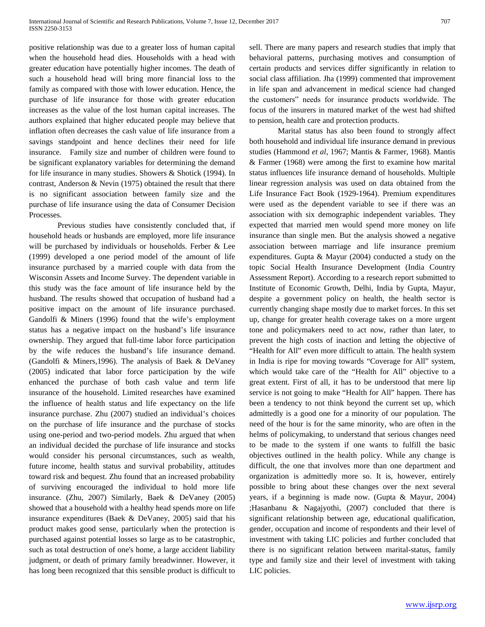positive relationship was due to a greater loss of human capital when the household head dies. Households with a head with greater education have potentially higher incomes. The death of such a household head will bring more financial loss to the family as compared with those with lower education. Hence, the purchase of life insurance for those with greater education increases as the value of the lost human capital increases. The authors explained that higher educated people may believe that inflation often decreases the cash value of life insurance from a savings standpoint and hence declines their need for life insurance. Family size and number of children were found to be significant explanatory variables for determining the demand for life insurance in many studies. Showers & Shotick (1994). In contrast, Anderson & Nevin (1975) obtained the result that there is no significant association between family size and the purchase of life insurance using the data of Consumer Decision Processes.

Previous studies have consistently concluded that, if household heads or husbands are employed, more life insurance will be purchased by individuals or households. Ferber & Lee (1999) developed a one period model of the amount of life insurance purchased by a married couple with data from the Wisconsin Assets and Income Survey. The dependent variable in this study was the face amount of life insurance held by the husband. The results showed that occupation of husband had a positive impact on the amount of life insurance purchased. Gandolfi & Miners (1996) found that the wife's employment status has a negative impact on the husband's life insurance ownership. They argued that full-time labor force participation by the wife reduces the husband's life insurance demand. (Gandolfi & Miners,1996). The analysis of Baek & DeVaney (2005) indicated that labor force participation by the wife enhanced the purchase of both cash value and term life insurance of the household. Limited researches have examined the influence of health status and life expectancy on the life insurance purchase. Zhu (2007) studied an individual's choices on the purchase of life insurance and the purchase of stocks using one-period and two-period models. Zhu argued that when an individual decided the purchase of life insurance and stocks would consider his personal circumstances, such as wealth, future income, health status and survival probability, attitudes toward risk and bequest. Zhu found that an increased probability of surviving encouraged the individual to hold more life insurance. (Zhu, 2007) Similarly, Baek & DeVaney (2005) showed that a household with a healthy head spends more on life insurance expenditures (Baek & DeVaney, 2005) said that his product makes good sense, particularly when the protection is purchased against potential losses so large as to be catastrophic, such as total destruction of one's home, a large accident liability judgment, or death of primary family breadwinner. However, it has long been recognized that this sensible product is difficult to

sell. There are many papers and research studies that imply that behavioral patterns, purchasing motives and consumption of certain products and services differ significantly in relation to social class affiliation. Jha (1999) commented that improvement in life span and advancement in medical science had changed the customers" needs for insurance products worldwide. The focus of the insurers in matured market of the west had shifted to pension, health care and protection products.

Marital status has also been found to strongly affect both household and individual life insurance demand in previous studies (Hammond *et al*, 1967; Mantis & Farmer, 1968). Mantis & Farmer (1968) were among the first to examine how marital status influences life insurance demand of households. Multiple linear regression analysis was used on data obtained from the Life Insurance Fact Book (1929-1964). Premium expenditures were used as the dependent variable to see if there was an association with six demographic independent variables. They expected that married men would spend more money on life insurance than single men. But the analysis showed a negative association between marriage and life insurance premium expenditures. Gupta & Mayur (2004) conducted a study on the topic Social Health Insurance Development (India Country Assessment Report). According to a research report submitted to Institute of Economic Growth, Delhi, India by Gupta, Mayur, despite a government policy on health, the health sector is currently changing shape mostly due to market forces. In this set up, change for greater health coverage takes on a more urgent tone and policymakers need to act now, rather than later, to prevent the high costs of inaction and letting the objective of "Health for All" even more difficult to attain. The health system in India is ripe for moving towards "Coverage for All" system, which would take care of the "Health for All" objective to a great extent. First of all, it has to be understood that mere lip service is not going to make "Health for All" happen. There has been a tendency to not think beyond the current set up, which admittedly is a good one for a minority of our population. The need of the hour is for the same minority, who are often in the helms of policymaking, to understand that serious changes need to be made to the system if one wants to fulfill the basic objectives outlined in the health policy. While any change is difficult, the one that involves more than one department and organization is admittedly more so. It is, however, entirely possible to bring about these changes over the next several years, if a beginning is made now. (Gupta & Mayur, 2004) ;Hasanbanu & Nagajyothi, (2007) concluded that there is significant relationship between age, educational qualification, gender, occupation and income of respondents and their level of investment with taking LIC policies and further concluded that there is no significant relation between marital-status, family type and family size and their level of investment with taking LIC policies.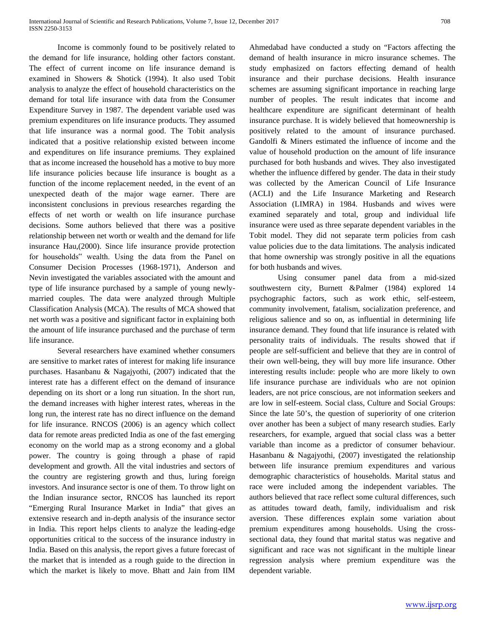Income is commonly found to be positively related to the demand for life insurance, holding other factors constant. The effect of current income on life insurance demand is examined in Showers & Shotick (1994). It also used Tobit analysis to analyze the effect of household characteristics on the demand for total life insurance with data from the Consumer Expenditure Survey in 1987. The dependent variable used was premium expenditures on life insurance products. They assumed that life insurance was a normal good. The Tobit analysis indicated that a positive relationship existed between income and expenditures on life insurance premiums. They explained that as income increased the household has a motive to buy more life insurance policies because life insurance is bought as a function of the income replacement needed, in the event of an unexpected death of the major wage earner. There are inconsistent conclusions in previous researches regarding the effects of net worth or wealth on life insurance purchase decisions. Some authors believed that there was a positive relationship between net worth or wealth and the demand for life insurance Hau,(2000). Since life insurance provide protection for households" wealth. Using the data from the Panel on Consumer Decision Processes (1968-1971), Anderson and Nevin investigated the variables associated with the amount and type of life insurance purchased by a sample of young newlymarried couples. The data were analyzed through Multiple Classification Analysis (MCA). The results of MCA showed that net worth was a positive and significant factor in explaining both the amount of life insurance purchased and the purchase of term life insurance.

Several researchers have examined whether consumers are sensitive to market rates of interest for making life insurance purchases. Hasanbanu & Nagajyothi, (2007) indicated that the interest rate has a different effect on the demand of insurance depending on its short or a long run situation. In the short run, the demand increases with higher interest rates, whereas in the long run, the interest rate has no direct influence on the demand for life insurance. RNCOS (2006) is an agency which collect data for remote areas predicted India as one of the fast emerging economy on the world map as a strong economy and a global power. The country is going through a phase of rapid development and growth. All the vital industries and sectors of the country are registering growth and thus, luring foreign investors. And insurance sector is one of them. To throw light on the Indian insurance sector, RNCOS has launched its report "Emerging Rural Insurance Market in India" that gives an extensive research and in-depth analysis of the insurance sector in India. This report helps clients to analyze the leading-edge opportunities critical to the success of the insurance industry in India. Based on this analysis, the report gives a future forecast of the market that is intended as a rough guide to the direction in which the market is likely to move. Bhatt and Jain from IIM Ahmedabad have conducted a study on "Factors affecting the demand of health insurance in micro insurance schemes. The study emphasized on factors effecting demand of health insurance and their purchase decisions. Health insurance schemes are assuming significant importance in reaching large number of peoples. The result indicates that income and healthcare expenditure are significant determinant of health insurance purchase. It is widely believed that homeownership is positively related to the amount of insurance purchased. Gandolfi & Miners estimated the influence of income and the value of household production on the amount of life insurance purchased for both husbands and wives. They also investigated whether the influence differed by gender. The data in their study was collected by the American Council of Life Insurance (ACLI) and the Life Insurance Marketing and Research Association (LIMRA) in 1984. Husbands and wives were examined separately and total, group and individual life insurance were used as three separate dependent variables in the Tobit model. They did not separate term policies from cash value policies due to the data limitations. The analysis indicated that home ownership was strongly positive in all the equations for both husbands and wives.

Using consumer panel data from a mid-sized southwestern city, Burnett &Palmer (1984) explored 14 psychographic factors, such as work ethic, self-esteem, community involvement, fatalism, socialization preference, and religious salience and so on, as influential in determining life insurance demand. They found that life insurance is related with personality traits of individuals. The results showed that if people are self-sufficient and believe that they are in control of their own well-being, they will buy more life insurance. Other interesting results include: people who are more likely to own life insurance purchase are individuals who are not opinion leaders, are not price conscious, are not information seekers and are low in self-esteem. Social class, Culture and Social Groups: Since the late 50's, the question of superiority of one criterion over another has been a subject of many research studies. Early researchers, for example, argued that social class was a better variable than income as a predictor of consumer behaviour. Hasanbanu & Nagajyothi, (2007) investigated the relationship between life insurance premium expenditures and various demographic characteristics of households. Marital status and race were included among the independent variables. The authors believed that race reflect some cultural differences, such as attitudes toward death, family, individualism and risk aversion. These differences explain some variation about premium expenditures among households. Using the crosssectional data, they found that marital status was negative and significant and race was not significant in the multiple linear regression analysis where premium expenditure was the dependent variable.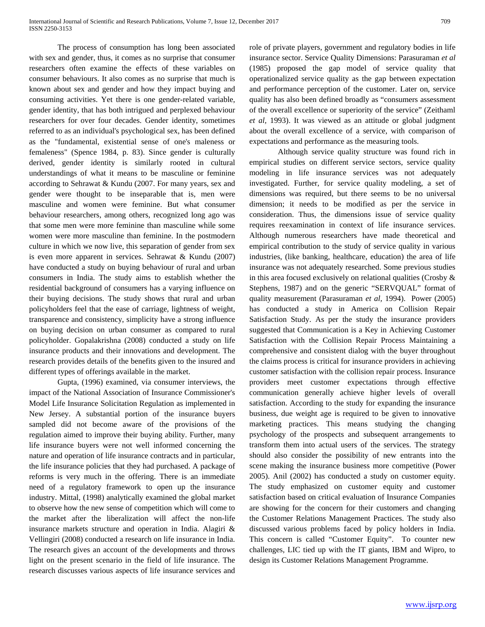The process of consumption has long been associated with sex and gender, thus, it comes as no surprise that consumer researchers often examine the effects of these variables on consumer behaviours. It also comes as no surprise that much is known about sex and gender and how they impact buying and consuming activities. Yet there is one gender-related variable, gender identity, that has both intrigued and perplexed behaviour researchers for over four decades. Gender identity, sometimes referred to as an individual's psychological sex, has been defined as the "fundamental, existential sense of one's maleness or femaleness" (Spence 1984, p. 83). Since gender is culturally derived, gender identity is similarly rooted in cultural understandings of what it means to be masculine or feminine according to Sehrawat & Kundu (2007. For many years, sex and gender were thought to be inseparable that is, men were masculine and women were feminine. But what consumer behaviour researchers, among others, recognized long ago was that some men were more feminine than masculine while some women were more masculine than feminine. In the postmodern culture in which we now live, this separation of gender from sex is even more apparent in services. Sehrawat & Kundu (2007) have conducted a study on buying behaviour of rural and urban consumers in India. The study aims to establish whether the residential background of consumers has a varying influence on their buying decisions. The study shows that rural and urban policyholders feel that the ease of carriage, lightness of weight, transparence and consistency, simplicity have a strong influence on buying decision on urban consumer as compared to rural policyholder. Gopalakrishna (2008) conducted a study on life insurance products and their innovations and development. The research provides details of the benefits given to the insured and different types of offerings available in the market.

Gupta, (1996) examined, via consumer interviews, the impact of the National Association of Insurance Commissioner's Model Life Insurance Solicitation Regulation as implemented in New Jersey. A substantial portion of the insurance buyers sampled did not become aware of the provisions of the regulation aimed to improve their buying ability. Further, many life insurance buyers were not well informed concerning the nature and operation of life insurance contracts and in particular, the life insurance policies that they had purchased. A package of reforms is very much in the offering. There is an immediate need of a regulatory framework to open up the insurance industry. Mittal, (1998) analytically examined the global market to observe how the new sense of competition which will come to the market after the liberalization will affect the non-life insurance markets structure and operation in India. Alagiri & Vellingiri (2008) conducted a research on life insurance in India. The research gives an account of the developments and throws light on the present scenario in the field of life insurance. The research discusses various aspects of life insurance services and

role of private players, government and regulatory bodies in life insurance sector. Service Quality Dimensions: Parasuraman *et al* (1985) proposed the gap model of service quality that operationalized service quality as the gap between expectation and performance perception of the customer. Later on, service quality has also been defined broadly as "consumers assessment of the overall excellence or superiority of the service" (Zeithaml *et al,* 1993). It was viewed as an attitude or global judgment about the overall excellence of a service, with comparison of expectations and performance as the measuring tools.

Although service quality structure was found rich in empirical studies on different service sectors, service quality modeling in life insurance services was not adequately investigated. Further, for service quality modeling, a set of dimensions was required, but there seems to be no universal dimension; it needs to be modified as per the service in consideration. Thus, the dimensions issue of service quality requires reexamination in context of life insurance services. Although numerous researchers have made theoretical and empirical contribution to the study of service quality in various industries, (like banking, healthcare, education) the area of life insurance was not adequately researched. Some previous studies in this area focused exclusively on relational qualities (Crosby & Stephens, 1987) and on the generic "SERVQUAL" format of quality measurement (Parasuraman *et al,* 1994). Power (2005) has conducted a study in America on Collision Repair Satisfaction Study. As per the study the insurance providers suggested that Communication is a Key in Achieving Customer Satisfaction with the Collision Repair Process Maintaining a comprehensive and consistent dialog with the buyer throughout the claims process is critical for insurance providers in achieving customer satisfaction with the collision repair process. Insurance providers meet customer expectations through effective communication generally achieve higher levels of overall satisfaction. According to the study for expanding the insurance business, due weight age is required to be given to innovative marketing practices. This means studying the changing psychology of the prospects and subsequent arrangements to transform them into actual users of the services. The strategy should also consider the possibility of new entrants into the scene making the insurance business more competitive (Power 2005). Anil (2002) has conducted a study on customer equity. The study emphasized on customer equity and customer satisfaction based on critical evaluation of Insurance Companies are showing for the concern for their customers and changing the Customer Relations Management Practices. The study also discussed various problems faced by policy holders in India. This concern is called "Customer Equity". To counter new challenges, LIC tied up with the IT giants, IBM and Wipro, to design its Customer Relations Management Programme.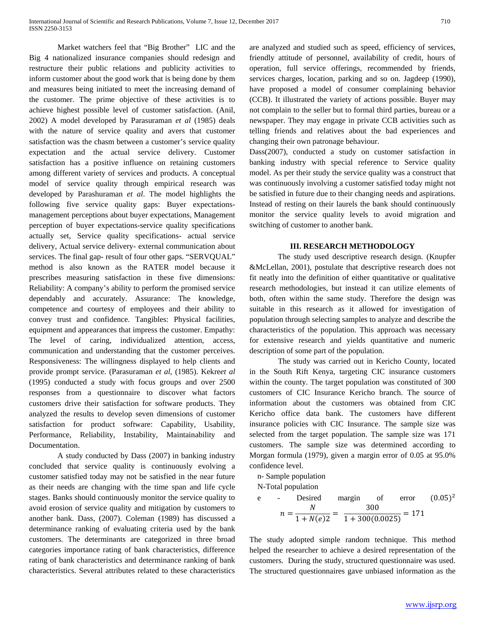Market watchers feel that "Big Brother" LIC and the Big 4 nationalized insurance companies should redesign and restructure their public relations and publicity activities to inform customer about the good work that is being done by them and measures being initiated to meet the increasing demand of the customer. The prime objective of these activities is to achieve highest possible level of customer satisfaction. (Anil, 2002) A model developed by Parasuraman *et al* (1985) deals with the nature of service quality and avers that customer satisfaction was the chasm between a customer's service quality expectation and the actual service delivery. Customer satisfaction has a positive influence on retaining customers among different variety of services and products. A conceptual model of service quality through empirical research was developed by Parashuraman *et al*. The model highlights the following five service quality gaps: Buyer expectationsmanagement perceptions about buyer expectations, Management perception of buyer expectations-service quality specifications actually set, Service quality specifications- actual service delivery, Actual service delivery- external communication about services. The final gap- result of four other gaps. "SERVQUAL" method is also known as the RATER model because it prescribes measuring satisfaction in these five dimensions: Reliability: A company's ability to perform the promised service dependably and accurately. Assurance: The knowledge, competence and courtesy of employees and their ability to convey trust and confidence. Tangibles: Physical facilities, equipment and appearances that impress the customer. Empathy: The level of caring, individualized attention, access, communication and understanding that the customer perceives. Responsiveness: The willingness displayed to help clients and provide prompt service. (Parasuraman *et al*, (1985). Kekre*et al* (1995) conducted a study with focus groups and over 2500 responses from a questionnaire to discover what factors customers drive their satisfaction for software products. They analyzed the results to develop seven dimensions of customer satisfaction for product software: Capability, Usability, Performance, Reliability, Instability, Maintainability and Documentation.

A study conducted by Dass (2007) in banking industry concluded that service quality is continuously evolving a customer satisfied today may not be satisfied in the near future as their needs are changing with the time span and life cycle stages. Banks should continuously monitor the service quality to avoid erosion of service quality and mitigation by customers to another bank. Dass, (2007). Coleman (1989) has discussed a determinance ranking of evaluating criteria used by the bank customers. The determinants are categorized in three broad categories importance rating of bank characteristics, difference rating of bank characteristics and determinance ranking of bank characteristics. Several attributes related to these characteristics

are analyzed and studied such as speed, efficiency of services, friendly attitude of personnel, availability of credit, hours of operation, full service offerings, recommended by friends, services charges, location, parking and so on. Jagdeep (1990), have proposed a model of consumer complaining behavior (CCB). It illustrated the variety of actions possible. Buyer may not complain to the seller but to formal third parties, bureau or a newspaper. They may engage in private CCB activities such as telling friends and relatives about the bad experiences and changing their own patronage behaviour.

Dass(2007), conducted a study on customer satisfaction in banking industry with special reference to Service quality model. As per their study the service quality was a construct that was continuously involving a customer satisfied today might not be satisfied in future due to their changing needs and aspirations. Instead of resting on their laurels the bank should continuously monitor the service quality levels to avoid migration and switching of customer to another bank.

## **III. RESEARCH METHODOLOGY**

The study used descriptive research design. (Knupfer &McLellan, 2001), postulate that descriptive research does not fit neatly into the definition of either quantitative or qualitative research methodologies, but instead it can utilize elements of both, often within the same study. Therefore the design was suitable in this research as it allowed for investigation of population through selecting samples to analyze and describe the characteristics of the population. This approach was necessary for extensive research and yields quantitative and numeric description of some part of the population.

The study was carried out in Kericho County, located in the South Rift Kenya, targeting CIC insurance customers within the county. The target population was constituted of 300 customers of CIC Insurance Kericho branch. The source of information about the customers was obtained from CIC Kericho office data bank. The customers have different insurance policies with CIC Insurance. The sample size was selected from the target population. The sample size was 171 customers. The sample size was determined according to Morgan formula (1979), given a margin error of 0.05 at 95.0% confidence level.

n- Sample population

N-Total population

e - 
$$
\text{Desired} \text{ margin} \text{ of } \text{error } (0.05)^2
$$

$$
n = \frac{N}{1 + N(e)2} = \frac{300}{1 + 300(0.0025)} = 171
$$

The study adopted simple random technique. This method helped the researcher to achieve a desired representation of the customers. During the study, structured questionnaire was used. The structured questionnaires gave unbiased information as the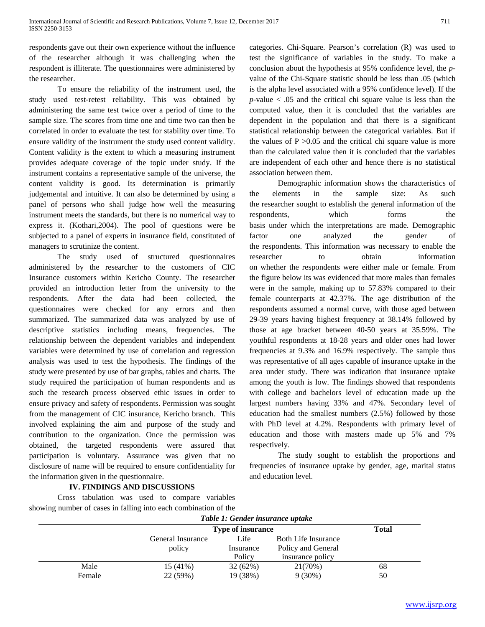respondents gave out their own experience without the influence of the researcher although it was challenging when the respondent is illiterate. The questionnaires were administered by the researcher.

To ensure the reliability of the instrument used, the study used test-retest reliability. This was obtained by administering the same test twice over a period of time to the sample size. The scores from time one and time two can then be correlated in order to evaluate the test for stability over time. To ensure validity of the instrument the study used content validity. Content validity is the extent to which a measuring instrument provides adequate coverage of the topic under study. If the instrument contains a representative sample of the universe, the content validity is good. Its determination is primarily judgemental and intuitive. It can also be determined by using a panel of persons who shall judge how well the measuring instrument meets the standards, but there is no numerical way to express it. (Kothari,2004). The pool of questions were be subjected to a panel of experts in insurance field, constituted of managers to scrutinize the content.

The study used of structured questionnaires administered by the researcher to the customers of CIC Insurance customers within Kericho County. The researcher provided an introduction letter from the university to the respondents. After the data had been collected, the questionnaires were checked for any errors and then summarized. The summarized data was analyzed by use of descriptive statistics including means, frequencies. The relationship between the dependent variables and independent variables were determined by use of correlation and regression analysis was used to test the hypothesis. The findings of the study were presented by use of bar graphs, tables and charts. The study required the participation of human respondents and as such the research process observed ethic issues in order to ensure privacy and safety of respondents. Permission was sought from the management of CIC insurance, Kericho branch. This involved explaining the aim and purpose of the study and contribution to the organization. Once the permission was obtained, the targeted respondents were assured that participation is voluntary. Assurance was given that no disclosure of name will be required to ensure confidentiality for the information given in the questionnaire.

categories. Chi-Square. Pearson's correlation (R) was used to test the significance of variables in the study. To make a conclusion about the hypothesis at 95% confidence level, the *p*value of the Chi-Square statistic should be less than .05 (which is the alpha level associated with a 95% confidence level). If the *p*-value < .05 and the critical chi square value is less than the computed value, then it is concluded that the variables are dependent in the population and that there is a significant statistical relationship between the categorical variables. But if the values of  $P > 0.05$  and the critical chi square value is more than the calculated value then it is concluded that the variables are independent of each other and hence there is no statistical association between them.

Demographic information shows the characteristics of the elements in the sample size: As such the researcher sought to establish the general information of the respondents, which forms the basis under which the interpretations are made. Demographic factor one analyzed the gender of the respondents. This information was necessary to enable the researcher to obtain information on whether the respondents were either male or female. From the figure below its was evidenced that more males than females were in the sample, making up to 57.83% compared to their female counterparts at 42.37%. The age distribution of the respondents assumed a normal curve, with those aged between 29-39 years having highest frequency at 38.14% followed by those at age bracket between 40-50 years at 35.59%. The youthful respondents at 18-28 years and older ones had lower frequencies at 9.3% and 16.9% respectively. The sample thus was representative of all ages capable of insurance uptake in the area under study. There was indication that insurance uptake among the youth is low. The findings showed that respondents with college and bachelors level of education made up the largest numbers having 33% and 47%. Secondary level of education had the smallest numbers (2.5%) followed by those with PhD level at 4.2%. Respondents with primary level of education and those with masters made up 5% and 7% respectively.

The study sought to establish the proportions and frequencies of insurance uptake by gender, age, marital status and education level.

# **IV. FINDINGS AND DISCUSSIONS**

Cross tabulation was used to compare variables showing number of cases in falling into each combination of the

|  |  | Table 1: Gender insurance uptake |  |
|--|--|----------------------------------|--|
|  |  |                                  |  |

|        | Tuble 1: Genaer mourance appare |              |                            |    |  |
|--------|---------------------------------|--------------|----------------------------|----|--|
|        | <b>Type of insurance</b>        | <b>Total</b> |                            |    |  |
|        | General Insurance               | Life         | <b>Both Life Insurance</b> |    |  |
|        | policy                          | Insurance    | Policy and General         |    |  |
|        |                                 | Policy       | insurance policy           |    |  |
| Male   | $15(41\%)$                      | 32(62%)      | 21(70%)                    | 68 |  |
| Female | 22 (59%)                        | 19 (38%)     | $9(30\%)$                  | 50 |  |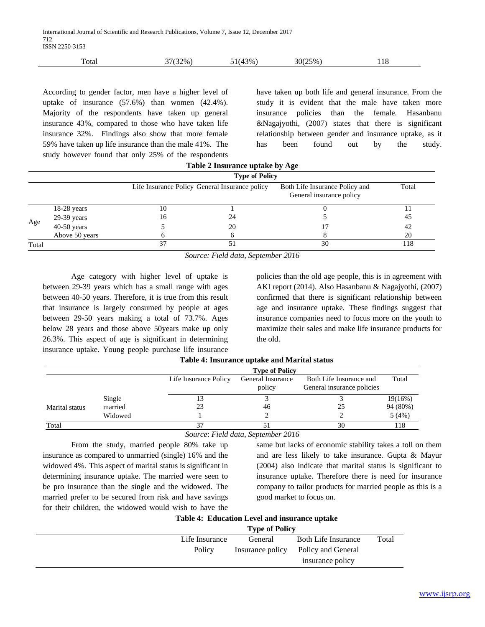| ᠆<br>Total | $\mathcal{D}_{\infty}$ | $3\%$ . | $25\%$<br>306 | 1 O<br>110<br>$  -$ |
|------------|------------------------|---------|---------------|---------------------|
|            |                        |         |               |                     |

According to gender factor, men have a higher level of uptake of insurance (57.6%) than women (42.4%). Majority of the respondents have taken up general insurance 43%, compared to those who have taken life insurance 32%. Findings also show that more female 59% have taken up life insurance than the male 41%. The study however found that only 25% of the respondents

have taken up both life and general insurance. From the study it is evident that the male have taken more insurance policies than the female. Hasanbanu &Nagajyothi, (2007) states that there is significant relationship between gender and insurance uptake, as it has been found out by the study.

| Table 2 Insurance uptake by Age |                |                       |                                                |                                                            |       |  |  |
|---------------------------------|----------------|-----------------------|------------------------------------------------|------------------------------------------------------------|-------|--|--|
|                                 |                | <b>Type of Policy</b> |                                                |                                                            |       |  |  |
|                                 |                |                       | Life Insurance Policy General Insurance policy | Both Life Insurance Policy and<br>General insurance policy | Total |  |  |
|                                 | $18-28$ years  | 10                    |                                                |                                                            |       |  |  |
|                                 | 29-39 years    | 16                    | 24                                             |                                                            | 45    |  |  |
| Age                             | $40-50$ years  |                       | 20                                             |                                                            | 42    |  |  |
|                                 | Above 50 years |                       |                                                |                                                            | 20    |  |  |
| Total                           |                | 37                    | 51                                             | 30                                                         | l 18  |  |  |

*Source: Field data, September 2016*

Age category with higher level of uptake is between 29-39 years which has a small range with ages between 40-50 years. Therefore, it is true from this result that insurance is largely consumed by people at ages between 29-50 years making a total of 73.7%. Ages below 28 years and those above 50years make up only 26.3%. This aspect of age is significant in determining insurance uptake. Young people purchase life insurance policies than the old age people, this is in agreement with AKI report (2014). Also Hasanbanu & Nagajyothi, (2007) confirmed that there is significant relationship between age and insurance uptake. These findings suggest that insurance companies need to focus more on the youth to maximize their sales and make life insurance products for the old.

|                |         |                       | <b>Type of Policy</b>       |                                                       |          |
|----------------|---------|-----------------------|-----------------------------|-------------------------------------------------------|----------|
|                |         | Life Insurance Policy | General Insurance<br>policy | Both Life Insurance and<br>General insurance policies | Total    |
|                | Single  |                       |                             |                                                       | 19(16%)  |
| Marital status | married |                       | 46                          | 25                                                    | 94 (80%) |
|                | Widowed |                       |                             |                                                       | 5(4%)    |
| Total          |         |                       |                             | 30                                                    | 118      |

**Table 4: Insurance uptake and Marital status**

*Source*: *Field data, September 2016*

From the study, married people 80% take up insurance as compared to unmarried (single) 16% and the widowed 4%. This aspect of marital status is significant in determining insurance uptake. The married were seen to be pro insurance than the single and the widowed. The married prefer to be secured from risk and have savings for their children, the widowed would wish to have the

same but lacks of economic stability takes a toll on them and are less likely to take insurance. Gupta & Mayur (2004) also indicate that marital status is significant to insurance uptake. Therefore there is need for insurance company to tailor products for married people as this is a good market to focus on.

|  | Table 4: Education Level and insurance uptake |  |  |  |
|--|-----------------------------------------------|--|--|--|
|--|-----------------------------------------------|--|--|--|

|                | <b>Type of Policy</b> |                     |       |  |
|----------------|-----------------------|---------------------|-------|--|
| Life Insurance | General               | Both Life Insurance | Total |  |
| Policy         | Insurance policy      | Policy and General  |       |  |
|                |                       | insurance policy    |       |  |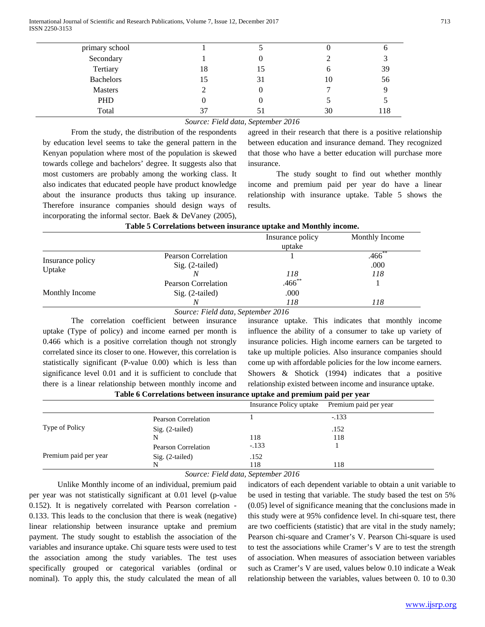International Journal of Scientific and Research Publications, Volume 7, Issue 12, December 2017 713 ISSN 2250-3153

| primary school   |    |    |    |     |
|------------------|----|----|----|-----|
| Secondary        |    |    |    |     |
| Tertiary         | 18 | 15 | O  | 39  |
| <b>Bachelors</b> | 15 | 31 | 10 | 56  |
| <b>Masters</b>   |    |    |    |     |
| PHD              |    |    |    |     |
| Total            | 37 |    | 30 | 118 |
|                  |    |    |    |     |

## *Source: Field data, September 2016*

From the study, the distribution of the respondents by education level seems to take the general pattern in the Kenyan population where most of the population is skewed towards college and bachelors' degree. It suggests also that most customers are probably among the working class. It also indicates that educated people have product knowledge about the insurance products thus taking up insurance. Therefore insurance companies should design ways of incorporating the informal sector. Baek & DeVaney (2005),

agreed in their research that there is a positive relationship between education and insurance demand. They recognized that those who have a better education will purchase more insurance.

The study sought to find out whether monthly income and premium paid per year do have a linear relationship with insurance uptake. Table 5 shows the results.

|                            | Insurance policy | Monthly Income                                  |
|----------------------------|------------------|-------------------------------------------------|
|                            | uptake           |                                                 |
| <b>Pearson Correlation</b> |                  | $.466$ **                                       |
| Sig. (2-tailed)            |                  | .000                                            |
|                            | 118              | 118                                             |
| <b>Pearson Correlation</b> |                  |                                                 |
| $Sig. (2-tailed)$          | .000             |                                                 |
|                            | 118              | 118                                             |
|                            |                  | $.466$ **<br>Source: Field data, September 2016 |

## **Table 5 Correlations between insurance uptake and Monthly income.**

*Source: Field data, September 2016*

The correlation coefficient between insurance uptake (Type of policy) and income earned per month is 0.466 which is a positive correlation though not strongly correlated since its closer to one. However, this correlation is statistically significant (P-value 0.00) which is less than significance level 0.01 and it is sufficient to conclude that there is a linear relationship between monthly income and

insurance uptake. This indicates that monthly income influence the ability of a consumer to take up variety of insurance policies. High income earners can be targeted to take up multiple policies. Also insurance companies should come up with affordable policies for the low income earners. Showers & Shotick (1994) indicates that a positive relationship existed between income and insurance uptake.

| Table 6 Correlations between insurance uptake and premium paid per year |  |  |  |  |
|-------------------------------------------------------------------------|--|--|--|--|
|                                                                         |  |  |  |  |

|                       |                     | Insurance Policy uptake | Premium paid per year |
|-----------------------|---------------------|-------------------------|-----------------------|
|                       | Pearson Correlation |                         | $-.133$               |
| Type of Policy        | $Sig. (2-tailed)$   |                         | .152                  |
|                       | N                   | 118                     | 118                   |
|                       | Pearson Correlation | $-.133$                 |                       |
| Premium paid per year | $Sig. (2-tailed)$   | .152                    |                       |
|                       |                     | 118                     | 118                   |

*Source: Field data, September 2016*

Unlike Monthly income of an individual, premium paid per year was not statistically significant at 0.01 level (p-value 0.152). It is negatively correlated with Pearson correlation - 0.133. This leads to the conclusion that there is weak (negative) linear relationship between insurance uptake and premium payment. The study sought to establish the association of the variables and insurance uptake. Chi square tests were used to test the association among the study variables. The test uses specifically grouped or categorical variables (ordinal or nominal). To apply this, the study calculated the mean of all

indicators of each dependent variable to obtain a unit variable to be used in testing that variable. The study based the test on 5% (0.05) level of significance meaning that the conclusions made in this study were at 95% confidence level. In chi-square test, there are two coefficients (statistic) that are vital in the study namely; Pearson chi-square and Cramer's V. Pearson Chi-square is used to test the associations while Cramer's V are to test the strength of association. When measures of association between variables such as Cramer's V are used, values below 0.10 indicate a Weak relationship between the variables, values between 0. 10 to 0.30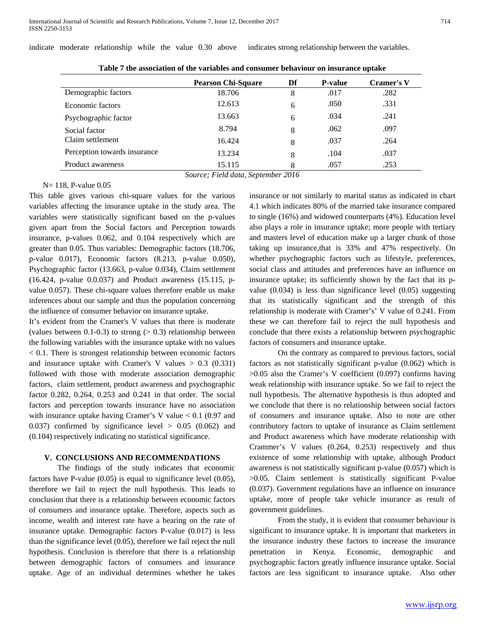|                              | <b>Pearson Chi-Square</b> | Df | <b>P-value</b> | <b>Cramer's V</b> |  |
|------------------------------|---------------------------|----|----------------|-------------------|--|
| Demographic factors          | 18.706                    | 8  | .017           | .282              |  |
| Economic factors             | 12.613                    | 6  | .050           | .331              |  |
| Psychographic factor         | 13.663                    | 6  | .034           | .241              |  |
| Social factor                | 8.794                     | 8  | .062           | .097              |  |
| Claim settlement             | 16.424                    | 8  | .037           | .264              |  |
| Perception towards insurance | 13.234                    | 8  | .104           | .037              |  |
| Product awareness            | 15.115                    | 8  | .057           | .253              |  |

**Table 7 the association of the variables and consumer behaviour on insurance uptake**

indicate moderate relationship while the value 0.30 above indicates strong relationship between the variables.

*Source; Field data, September 2016*

N= 118, P-value 0.05

This table gives various chi-square values for the various variables affecting the insurance uptake in the study area. The variables were statistically significant based on the p-values given apart from the Social factors and Perception towards insurance, p-values 0.062, and 0.104 respectively which are greater than 0.05. Thus variables: Demographic factors (18.706, p-value 0.017), Economic factors (8.213, p-value 0.050), Psychographic factor (13.663, p-value 0.034), Claim settlement (16.424, p-value 0.0.037) and Product awareness (15.115, pvalue 0.057). These chi-square values therefore enable us make inferences about our sample and thus the population concerning the influence of consumer behavior on insurance uptake.

It's evident from the Cramer's V values that there is moderate (values between  $0.1$ - $0.3$ ) to strong ( $> 0.3$ ) relationship between the following variables with the insurance uptake with no values < 0.1. There is strongest relationship between economic factors and insurance uptake with Cramer's V values  $> 0.3$  (0.331) followed with those with moderate association demographic factors, claim settlement, product awareness and psychographic factor 0.282, 0.264, 0.253 and 0.241 in that order. The social factors and perception towards insurance have no association with insurance uptake having Cramer's V value < 0.1 (0.97 and 0.037) confirmed by significance level  $> 0.05$  (0.062) and (0.104) respectively indicating no statistical significance.

# **V. CONCLUSIONS AND RECOMMENDATIONS**

The findings of the study indicates that economic factors have P-value (0.05) is equal to significance level (0.05), therefore we fail to reject the null hypothesis. This leads to conclusion that there is a relationship between economic factors of consumers and insurance uptake. Therefore, aspects such as income, wealth and interest rate have a bearing on the rate of insurance uptake. Demographic factors P-value (0.017) is less than the significance level (0.05), therefore we fail reject the null hypothesis. Conclusion is therefore that there is a relationship between demographic factors of consumers and insurance uptake. Age of an individual determines whether he takes

insurance or not similarly to marital status as indicated in chart 4.1 which indicates 80% of the married take insurance compared to single (16%) and widowed counterparts (4%). Education level also plays a role in insurance uptake; more people with tertiary and masters level of education make up a larger chunk of those taking up insurance,that is 33% and 47% respectively. On whether psychographic factors such as lifestyle, preferences, social class and attitudes and preferences have an influence on insurance uptake; its sufficiently shown by the fact that its pvalue (0.034) is less than significance level (0.05) suggesting that its statistically significant and the strength of this relationship is moderate with Cramer's' V value of 0.241. From these we can therefore fail to reject the null hypothesis and conclude that there exists a relationship between psychographic factors of consumers and insurance uptake.

On the contrary as compared to previous factors, social factors as not statistically significant p-value (0.062) which is >0.05 also the Cramer's V coefficient (0.097) confirms having weak relationship with insurance uptake. So we fail to reject the null hypothesis. The alternative hypothesis is thus adopted and we conclude that there is no relationship between social factors of consumers and insurance uptake. Also to note are other contributory factors to uptake of insurance as Claim settlement and Product awareness which have moderate relationship with Crammer's V values (0.264, 0.253) respectively and thus existence of some relationship with uptake, although Product awareness is not statistically significant p-value (0.057) which is >0.05. Claim settlement is statistically significant P-value (0.037). Government regulations have an influence on insurance uptake, more of people take vehicle insurance as result of government guidelines.

From the study, it is evident that consumer behaviour is significant to insurance uptake. It is important that marketers in the insurance industry these factors to increase the insurance penetration in Kenya. Economic, demographic and psychographic factors greatly influence insurance uptake. Social factors are less significant to insurance uptake. Also other